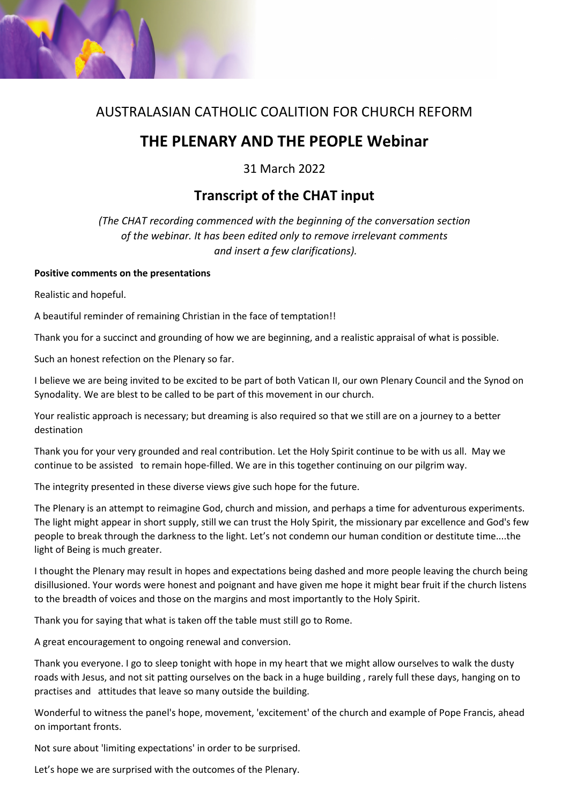

# AUSTRALASIAN CATHOLIC COALITION FOR CHURCH REFORM

# **THE PLENARY AND THE PEOPLE Webinar**

31 March 2022

# **Transcript of the CHAT input**

*(The CHAT recording commenced with the beginning of the conversation section of the webinar. It has been edited only to remove irrelevant comments and insert a few clarifications).*

### **Positive comments on the presentations**

Realistic and hopeful.

A beautiful reminder of remaining Christian in the face of temptation!!

Thank you for a succinct and grounding of how we are beginning, and a realistic appraisal of what is possible.

Such an honest refection on the Plenary so far.

I believe we are being invited to be excited to be part of both Vatican II, our own Plenary Council and the Synod on Synodality. We are blest to be called to be part of this movement in our church.

Your realistic approach is necessary; but dreaming is also required so that we still are on a journey to a better destination

Thank you for your very grounded and real contribution. Let the Holy Spirit continue to be with us all. May we continue to be assisted to remain hope-filled. We are in this together continuing on our pilgrim way.

The integrity presented in these diverse views give such hope for the future.

The Plenary is an attempt to reimagine God, church and mission, and perhaps a time for adventurous experiments. The light might appear in short supply, still we can trust the Holy Spirit, the missionary par excellence and God's few people to break through the darkness to the light. Let's not condemn our human condition or destitute time....the light of Being is much greater.

I thought the Plenary may result in hopes and expectations being dashed and more people leaving the church being disillusioned. Your words were honest and poignant and have given me hope it might bear fruit if the church listens to the breadth of voices and those on the margins and most importantly to the Holy Spirit.

Thank you for saying that what is taken off the table must still go to Rome.

A great encouragement to ongoing renewal and conversion.

Thank you everyone. I go to sleep tonight with hope in my heart that we might allow ourselves to walk the dusty roads with Jesus, and not sit patting ourselves on the back in a huge building , rarely full these days, hanging on to practises and attitudes that leave so many outside the building.

Wonderful to witness the panel's hope, movement, 'excitement' of the church and example of Pope Francis, ahead on important fronts.

Not sure about 'limiting expectations' in order to be surprised.

Let's hope we are surprised with the outcomes of the Plenary.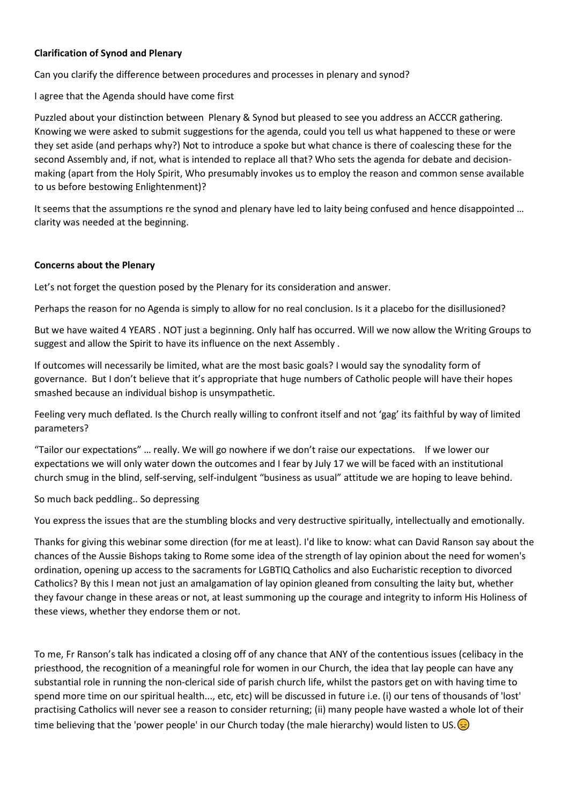#### **Clarification of Synod and Plenary**

Can you clarify the difference between procedures and processes in plenary and synod?

I agree that the Agenda should have come first

Puzzled about your distinction between Plenary & Synod but pleased to see you address an ACCCR gathering. Knowing we were asked to submit suggestions for the agenda, could you tell us what happened to these or were they set aside (and perhaps why?) Not to introduce a spoke but what chance is there of coalescing these for the second Assembly and, if not, what is intended to replace all that? Who sets the agenda for debate and decisionmaking (apart from the Holy Spirit, Who presumably invokes us to employ the reason and common sense available to us before bestowing Enlightenment)?

It seems that the assumptions re the synod and plenary have led to laity being confused and hence disappointed … clarity was needed at the beginning.

#### **Concerns about the Plenary**

Let's not forget the question posed by the Plenary for its consideration and answer.

Perhaps the reason for no Agenda is simply to allow for no real conclusion. Is it a placebo for the disillusioned?

But we have waited 4 YEARS . NOT just a beginning. Only half has occurred. Will we now allow the Writing Groups to suggest and allow the Spirit to have its influence on the next Assembly .

If outcomes will necessarily be limited, what are the most basic goals? I would say the synodality form of governance. But I don't believe that it's appropriate that huge numbers of Catholic people will have their hopes smashed because an individual bishop is unsympathetic.

Feeling very much deflated. Is the Church really willing to confront itself and not 'gag' its faithful by way of limited parameters?

"Tailor our expectations" … really. We will go nowhere if we don't raise our expectations. If we lower our expectations we will only water down the outcomes and I fear by July 17 we will be faced with an institutional church smug in the blind, self-serving, self-indulgent "business as usual" attitude we are hoping to leave behind.

So much back peddling.. So depressing

You express the issues that are the stumbling blocks and very destructive spiritually, intellectually and emotionally.

Thanks for giving this webinar some direction (for me at least). I'd like to know: what can David Ranson say about the chances of the Aussie Bishops taking to Rome some idea of the strength of lay opinion about the need for women's ordination, opening up access to the sacraments for LGBTIQ Catholics and also Eucharistic reception to divorced Catholics? By this I mean not just an amalgamation of lay opinion gleaned from consulting the laity but, whether they favour change in these areas or not, at least summoning up the courage and integrity to inform His Holiness of these views, whether they endorse them or not.

To me, Fr Ranson's talk has indicated a closing off of any chance that ANY of the contentious issues (celibacy in the priesthood, the recognition of a meaningful role for women in our Church, the idea that lay people can have any substantial role in running the non-clerical side of parish church life, whilst the pastors get on with having time to spend more time on our spiritual health..., etc, etc) will be discussed in future i.e. (i) our tens of thousands of 'lost' practising Catholics will never see a reason to consider returning; (ii) many people have wasted a whole lot of their time believing that the 'power people' in our Church today (the male hierarchy) would listen to US.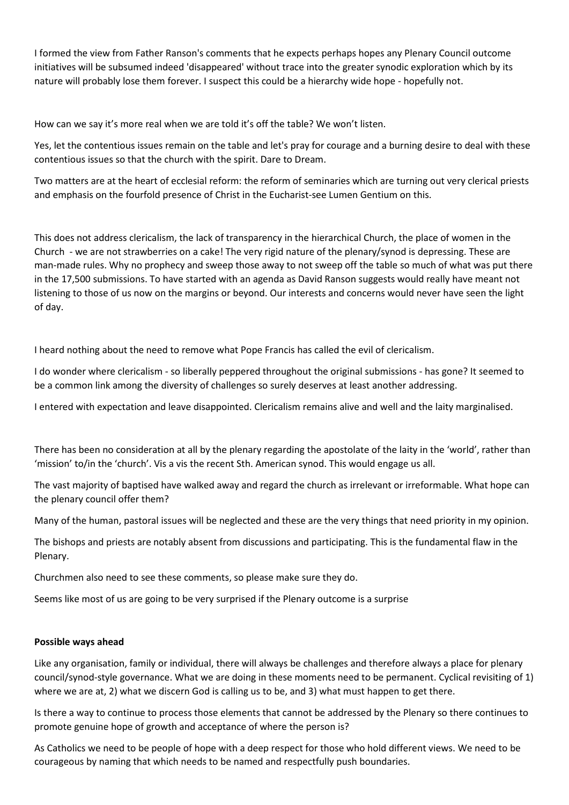I formed the view from Father Ranson's comments that he expects perhaps hopes any Plenary Council outcome initiatives will be subsumed indeed 'disappeared' without trace into the greater synodic exploration which by its nature will probably lose them forever. I suspect this could be a hierarchy wide hope - hopefully not.

How can we say it's more real when we are told it's off the table? We won't listen.

Yes, let the contentious issues remain on the table and let's pray for courage and a burning desire to deal with these contentious issues so that the church with the spirit. Dare to Dream.

Two matters are at the heart of ecclesial reform: the reform of seminaries which are turning out very clerical priests and emphasis on the fourfold presence of Christ in the Eucharist-see Lumen Gentium on this.

This does not address clericalism, the lack of transparency in the hierarchical Church, the place of women in the Church - we are not strawberries on a cake! The very rigid nature of the plenary/synod is depressing. These are man-made rules. Why no prophecy and sweep those away to not sweep off the table so much of what was put there in the 17,500 submissions. To have started with an agenda as David Ranson suggests would really have meant not listening to those of us now on the margins or beyond. Our interests and concerns would never have seen the light of day.

I heard nothing about the need to remove what Pope Francis has called the evil of clericalism.

I do wonder where clericalism - so liberally peppered throughout the original submissions - has gone? It seemed to be a common link among the diversity of challenges so surely deserves at least another addressing.

I entered with expectation and leave disappointed. Clericalism remains alive and well and the laity marginalised.

There has been no consideration at all by the plenary regarding the apostolate of the laity in the 'world', rather than 'mission' to/in the 'church'. Vis a vis the recent Sth. American synod. This would engage us all.

The vast majority of baptised have walked away and regard the church as irrelevant or irreformable. What hope can the plenary council offer them?

Many of the human, pastoral issues will be neglected and these are the very things that need priority in my opinion.

The bishops and priests are notably absent from discussions and participating. This is the fundamental flaw in the Plenary.

Churchmen also need to see these comments, so please make sure they do.

Seems like most of us are going to be very surprised if the Plenary outcome is a surprise

#### **Possible ways ahead**

Like any organisation, family or individual, there will always be challenges and therefore always a place for plenary council/synod-style governance. What we are doing in these moments need to be permanent. Cyclical revisiting of 1) where we are at, 2) what we discern God is calling us to be, and 3) what must happen to get there.

Is there a way to continue to process those elements that cannot be addressed by the Plenary so there continues to promote genuine hope of growth and acceptance of where the person is?

As Catholics we need to be people of hope with a deep respect for those who hold different views. We need to be courageous by naming that which needs to be named and respectfully push boundaries.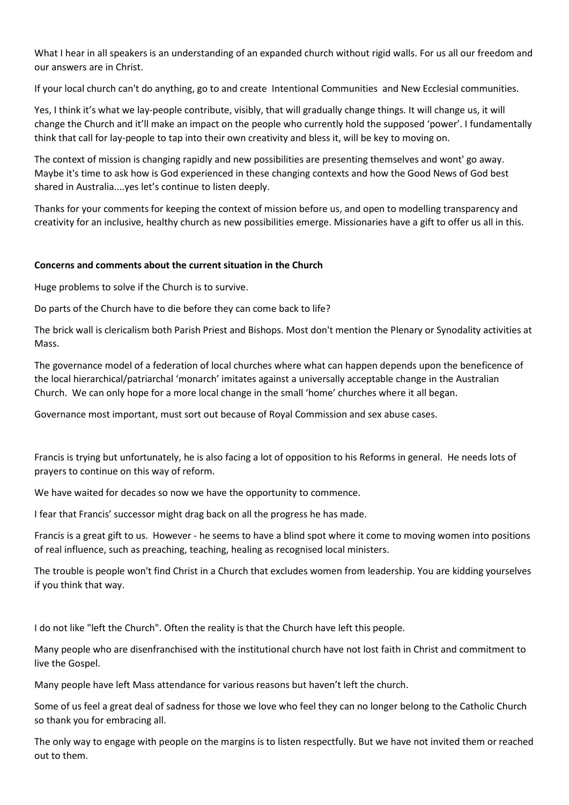What I hear in all speakers is an understanding of an expanded church without rigid walls. For us all our freedom and our answers are in Christ.

If your local church can't do anything, go to and create Intentional Communities and New Ecclesial communities.

Yes, I think it's what we lay-people contribute, visibly, that will gradually change things. It will change us, it will change the Church and it'll make an impact on the people who currently hold the supposed 'power'. I fundamentally think that call for lay-people to tap into their own creativity and bless it, will be key to moving on.

The context of mission is changing rapidly and new possibilities are presenting themselves and wont' go away. Maybe it's time to ask how is God experienced in these changing contexts and how the Good News of God best shared in Australia....yes let's continue to listen deeply.

Thanks for your comments for keeping the context of mission before us, and open to modelling transparency and creativity for an inclusive, healthy church as new possibilities emerge. Missionaries have a gift to offer us all in this.

## **Concerns and comments about the current situation in the Church**

Huge problems to solve if the Church is to survive.

Do parts of the Church have to die before they can come back to life?

The brick wall is clericalism both Parish Priest and Bishops. Most don't mention the Plenary or Synodality activities at Mass.

The governance model of a federation of local churches where what can happen depends upon the beneficence of the local hierarchical/patriarchal 'monarch' imitates against a universally acceptable change in the Australian Church. We can only hope for a more local change in the small 'home' churches where it all began.

Governance most important, must sort out because of Royal Commission and sex abuse cases.

Francis is trying but unfortunately, he is also facing a lot of opposition to his Reforms in general. He needs lots of prayers to continue on this way of reform.

We have waited for decades so now we have the opportunity to commence.

I fear that Francis' successor might drag back on all the progress he has made.

Francis is a great gift to us. However - he seems to have a blind spot where it come to moving women into positions of real influence, such as preaching, teaching, healing as recognised local ministers.

The trouble is people won't find Christ in a Church that excludes women from leadership. You are kidding yourselves if you think that way.

I do not like "left the Church". Often the reality is that the Church have left this people.

Many people who are disenfranchised with the institutional church have not lost faith in Christ and commitment to live the Gospel.

Many people have left Mass attendance for various reasons but haven't left the church.

Some of us feel a great deal of sadness for those we love who feel they can no longer belong to the Catholic Church so thank you for embracing all.

The only way to engage with people on the margins is to listen respectfully. But we have not invited them or reached out to them.